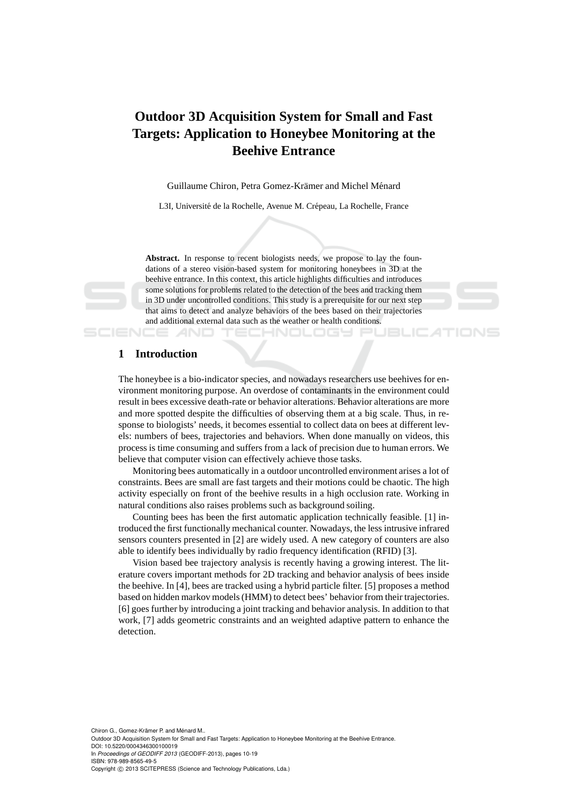# **Outdoor 3D Acquisition System for Small and Fast Targets: Application to Honeybee Monitoring at the Beehive Entrance**

Guillaume Chiron, Petra Gomez-Krämer and Michel Ménard

L3I, Université de la Rochelle, Avenue M. Crépeau, La Rochelle, France

Abstract. In response to recent biologists needs, we propose to lay the foundations of a stereo vision-based system for monitoring honeybees in 3D at the beehive entrance. In this context, this article highlights difficulties and introduces some solutions for problems related to the detection of the bees and tracking them in 3D under uncontrolled conditions. This study is a prerequisite for our next step that aims to detect and analyze behaviors of the bees based on their trajectories and additional external data such as the weather or health conditions.

eno oge



ATIONS

## **1 Introduction**

The honeybee is a bio-indicator species, and nowadays researchers use beehives for environment monitoring purpose. An overdose of contaminants in the environment could result in bees excessive death-rate or behavior alterations. Behavior alterations are more and more spotted despite the difficulties of observing them at a big scale. Thus, in response to biologists' needs, it becomes essential to collect data on bees at different levels: numbers of bees, trajectories and behaviors. When done manually on videos, this process is time consuming and suffers from a lack of precision due to human errors. We believe that computer vision can effectively achieve those tasks.

Monitoring bees automatically in a outdoor uncontrolled environment arises a lot of constraints. Bees are small are fast targets and their motions could be chaotic. The high activity especially on front of the beehive results in a high occlusion rate. Working in natural conditions also raises problems such as background soiling.

Counting bees has been the first automatic application technically feasible. [1] introduced the first functionally mechanical counter. Nowadays, the less intrusive infrared sensors counters presented in [2] are widely used. A new category of counters are also able to identify bees individually by radio frequency identification (RFID) [3].

Vision based bee trajectory analysis is recently having a growing interest. The literature covers important methods for 2D tracking and behavior analysis of bees inside the beehive. In [4], bees are tracked using a hybrid particle filter. [5] proposes a method based on hidden markov models (HMM) to detect bees' behavior from their trajectories. [6] goes further by introducing a joint tracking and behavior analysis. In addition to that work, [7] adds geometric constraints and an weighted adaptive pattern to enhance the detection.

Chiron G., Gomez-Krämer P. and Ménard M.. Outdoor 3D Acquisition System for Small and Fast Targets: Application to Honeybee Monitoring at the Beehive Entrance. DOI: 10.5220/0004346300100019 In *Proceedings of GEODIFF 2013* (GEODIFF-2013), pages 10-19 ISBN: 978-989-8565-49-5 Copyright © 2013 SCITEPRESS (Science and Technology Publications, Lda.)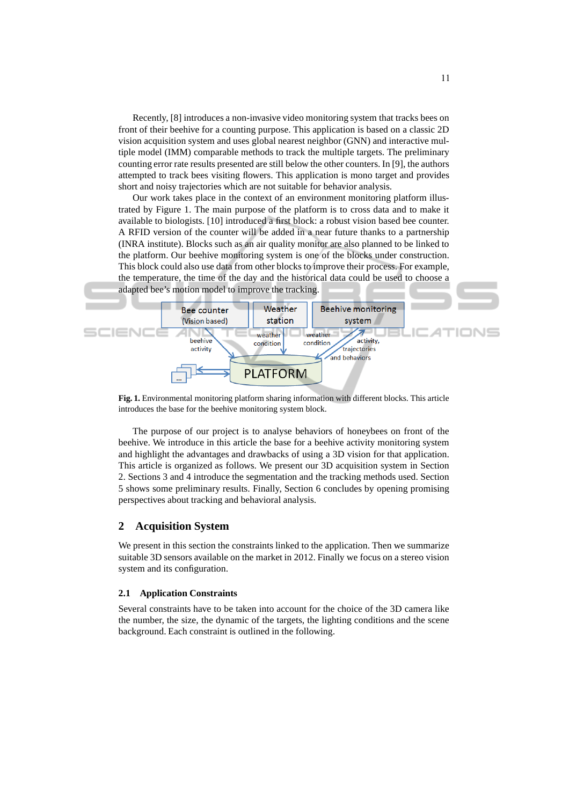Recently, [8] introduces a non-invasive video monitoring system that tracks bees on front of their beehive for a counting purpose. This application is based on a classic 2D vision acquisition system and uses global nearest neighbor (GNN) and interactive multiple model (IMM) comparable methods to track the multiple targets. The preliminary counting error rate results presented are still below the other counters. In [9], the authors attempted to track bees visiting flowers. This application is mono target and provides short and noisy trajectories which are not suitable for behavior analysis.

Our work takes place in the context of an environment monitoring platform illustrated by Figure 1. The main purpose of the platform is to cross data and to make it available to biologists. [10] introduced a first block: a robust vision based bee counter. A RFID version of the counter will be added in a near future thanks to a partnership (INRA institute). Blocks such as an air quality monitor are also planned to be linked to the platform. Our beehive monitoring system is one of the blocks under construction. This block could also use data from other blocks to improve their process. For example, the temperature, the time of the day and the historical data could be used to choose a adapted bee's motion model to improve the tracking.



**Fig. 1.** Environmental monitoring platform sharing information with different blocks. This article introduces the base for the beehive monitoring system block.

The purpose of our project is to analyse behaviors of honeybees on front of the beehive. We introduce in this article the base for a beehive activity monitoring system and highlight the advantages and drawbacks of using a 3D vision for that application. This article is organized as follows. We present our 3D acquisition system in Section 2. Sections 3 and 4 introduce the segmentation and the tracking methods used. Section 5 shows some preliminary results. Finally, Section 6 concludes by opening promising perspectives about tracking and behavioral analysis.

# **2 Acquisition System**

We present in this section the constraints linked to the application. Then we summarize suitable 3D sensors available on the market in 2012. Finally we focus on a stereo vision system and its configuration.

#### **2.1 Application Constraints**

Several constraints have to be taken into account for the choice of the 3D camera like the number, the size, the dynamic of the targets, the lighting conditions and the scene background. Each constraint is outlined in the following.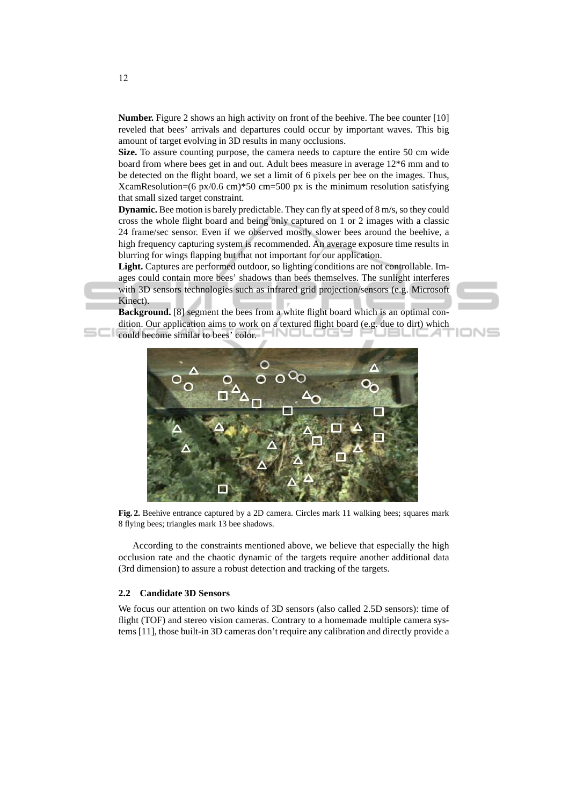**Number.** Figure 2 shows an high activity on front of the beehive. The bee counter [10] reveled that bees' arrivals and departures could occur by important waves. This big amount of target evolving in 3D results in many occlusions.

**Size.** To assure counting purpose, the camera needs to capture the entire 50 cm wide board from where bees get in and out. Adult bees measure in average 12\*6 mm and to be detected on the flight board, we set a limit of 6 pixels per bee on the images. Thus, XcamResolution=(6 px/0.6 cm)\*50 cm=500 px is the minimum resolution satisfying that small sized target constraint.

**Dynamic.** Bee motion is barely predictable. They can fly at speed of 8 m/s, so they could cross the whole flight board and being only captured on 1 or 2 images with a classic 24 frame/sec sensor. Even if we observed mostly slower bees around the beehive, a high frequency capturing system is recommended. An average exposure time results in blurring for wings flapping but that not important for our application.

**Light.** Captures are performed outdoor, so lighting conditions are not controllable. Images could contain more bees' shadows than bees themselves. The sunlight interferes with 3D sensors technologies such as infrared grid projection/sensors (e.g. Microsoft Kinect).

**Background.** [8] segment the bees from a white flight board which is an optimal condition. Our application aims to work on a textured flight board (e.g. due to dirt) which

ION





**Fig. 2.** Beehive entrance captured by a 2D camera. Circles mark 11 walking bees; squares mark 8 flying bees; triangles mark 13 bee shadows.

According to the constraints mentioned above, we believe that especially the high occlusion rate and the chaotic dynamic of the targets require another additional data (3rd dimension) to assure a robust detection and tracking of the targets.

## **2.2 Candidate 3D Sensors**

We focus our attention on two kinds of 3D sensors (also called 2.5D sensors): time of flight (TOF) and stereo vision cameras. Contrary to a homemade multiple camera systems [11], those built-in 3D cameras don't require any calibration and directly provide a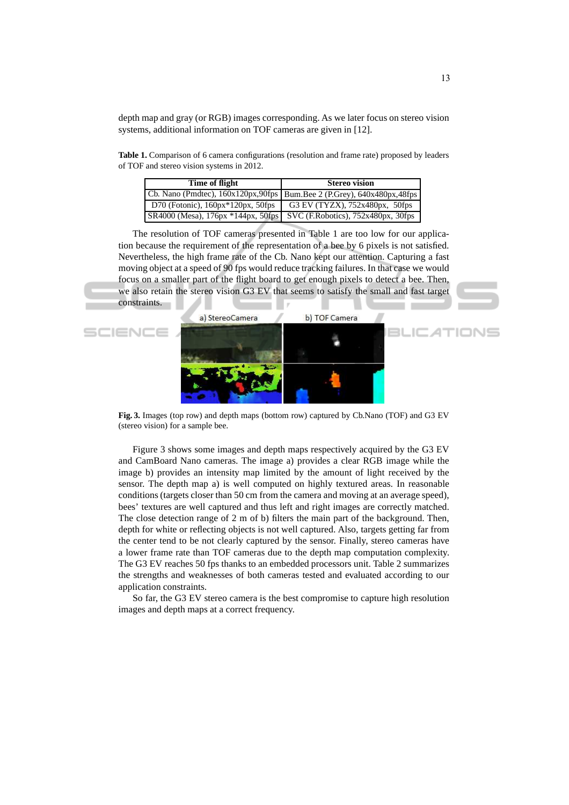depth map and gray (or RGB) images corresponding. As we later focus on stereo vision systems, additional information on TOF cameras are given in [12].

**Table 1.** Comparison of 6 camera configurations (resolution and frame rate) proposed by leaders of TOF and stereo vision systems in 2012.

| Time of flight                                                                      | <b>Stereo vision</b>                                                         |  |  |
|-------------------------------------------------------------------------------------|------------------------------------------------------------------------------|--|--|
|                                                                                     | Cb. Nano (Pmdtec), 160x120px, 90fps   Bum. Bee 2 (P. Grey), 640x480px, 48fps |  |  |
| D70 (Fotonic), $160px*120px$ , $50fps$                                              | G3 EV (TYZX), $752x480px$ , $50fps$                                          |  |  |
| $SR4000$ (Mesa), $176px * 144px$ , $50fps$ SVC (F. Robotics), $752x480px$ , $30fps$ |                                                                              |  |  |

The resolution of TOF cameras presented in Table 1 are too low for our application because the requirement of the representation of a bee by 6 pixels is not satisfied. Nevertheless, the high frame rate of the Cb. Nano kept our attention. Capturing a fast moving object at a speed of 90 fps would reduce tracking failures. In that case we would focus on a smaller part of the flight board to get enough pixels to detect a bee. Then, we also retain the stereo vision G3 EV that seems to satisfy the small and fast target constraints.

![](_page_3_Picture_4.jpeg)

**Fig. 3.** Images (top row) and depth maps (bottom row) captured by Cb.Nano (TOF) and G3 EV (stereo vision) for a sample bee.

Figure 3 shows some images and depth maps respectively acquired by the G3 EV and CamBoard Nano cameras. The image a) provides a clear RGB image while the image b) provides an intensity map limited by the amount of light received by the sensor. The depth map a) is well computed on highly textured areas. In reasonable conditions (targets closer than 50 cm from the camera and moving at an average speed), bees' textures are well captured and thus left and right images are correctly matched. The close detection range of 2 m of b) filters the main part of the background. Then, depth for white or reflecting objects is not well captured. Also, targets getting far from the center tend to be not clearly captured by the sensor. Finally, stereo cameras have a lower frame rate than TOF cameras due to the depth map computation complexity. The G3 EV reaches 50 fps thanks to an embedded processors unit. Table 2 summarizes the strengths and weaknesses of both cameras tested and evaluated according to our application constraints.

So far, the G3 EV stereo camera is the best compromise to capture high resolution images and depth maps at a correct frequency.

IONS

JŒ ⊿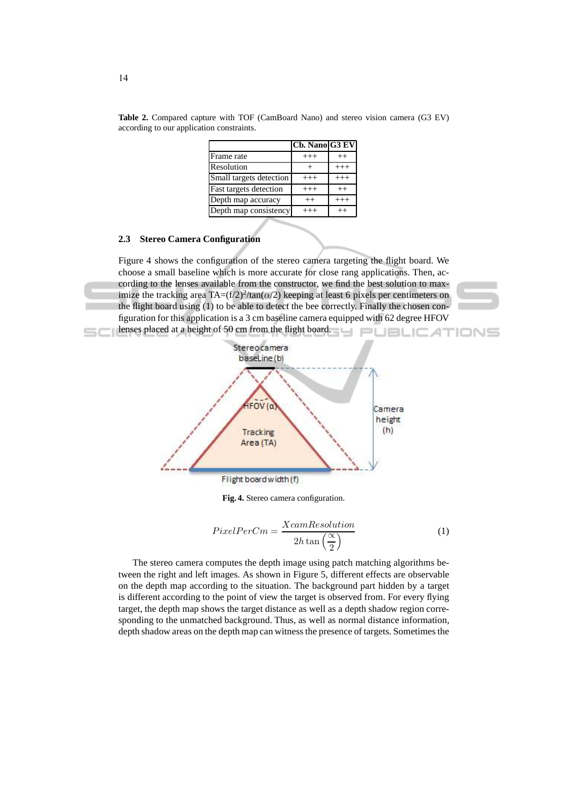|                         | Cb. Nano G3 EV |         |
|-------------------------|----------------|---------|
| Frame rate              | $+++$          | $^{++}$ |
| Resolution              |                | $+++$   |
| Small targets detection | $+++$          | $+++$   |
| Fast targets detection  | $^{+++}$       | $^{++}$ |
| Depth map accuracy      | $^{++}$        | $+++$   |
| Depth map consistency   | $^{+++}$       |         |

**Table 2.** Compared capture with TOF (CamBoard Nano) and stereo vision camera (G3 EV) according to our application constraints.

#### **2.3 Stereo Camera Configuration**

Figure 4 shows the configuration of the stereo camera targeting the flight board. We choose a small baseline which is more accurate for close rang applications. Then, according to the lenses available from the constructor, we find the best solution to maximize the tracking area TA= $(f/2)^2$ /tan $(\alpha/2)$  keeping at least 6 pixels per centimeters on the flight board using (1) to be able to detect the bee correctly. Finally the chosen configuration for this application is a 3 cm baseline camera equipped with 62 degree HFOV lenses placed at a height of 50 cm from the flight board.

![](_page_4_Figure_4.jpeg)

**Fig. 4.** Stereo camera configuration.

$$
PixelPerCm = \frac{XcamResolution}{2h \tan\left(\frac{\alpha}{2}\right)}\tag{1}
$$

The stereo camera computes the depth image using patch matching algorithms between the right and left images. As shown in Figure 5, different effects are observable on the depth map according to the situation. The background part hidden by a target is different according to the point of view the target is observed from. For every flying target, the depth map shows the target distance as well as a depth shadow region corresponding to the unmatched background. Thus, as well as normal distance information, depth shadow areas on the depth map can witness the presence of targets. Sometimes the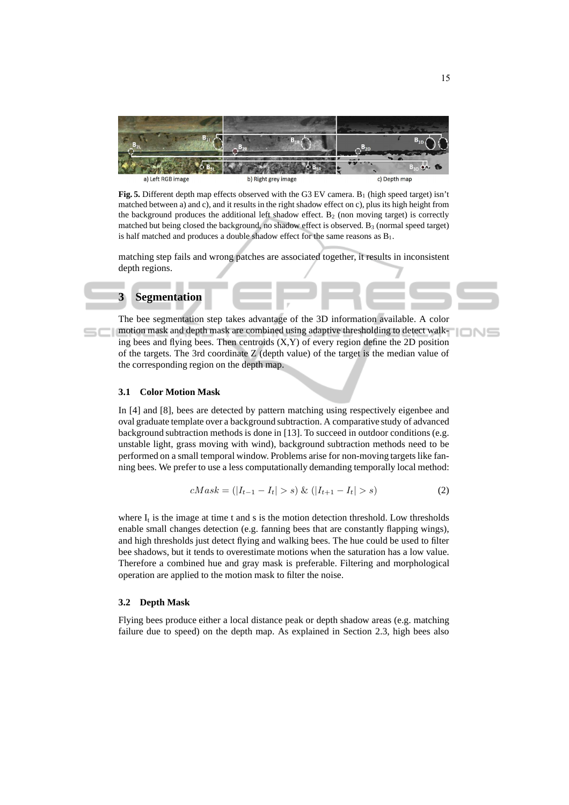![](_page_5_Picture_0.jpeg)

**Fig. 5.** Different depth map effects observed with the G3 EV camera. B<sub>1</sub> (high speed target) isn't matched between a) and c), and it results in the right shadow effect on c), plus its high height from the background produces the additional left shadow effect.  $B_2$  (non moving target) is correctly matched but being closed the background, no shadow effect is observed.  $B_3$  (normal speed target) is half matched and produces a double shadow effect for the same reasons as  $B_1$ .

matching step fails and wrong patches are associated together, it results in inconsistent depth regions.

## **3 Segmentation**

The bee segmentation step takes advantage of the 3D information available. A color motion mask and depth mask are combined using adaptive thresholding to detect walking bees and flying bees. Then centroids  $(X, Y)$  of every region define the 2D position of the targets. The 3rd coordinate  $Z$  (depth value) of the target is the median value of the corresponding region on the depth map.

## **3.1 Color Motion Mask**

In [4] and [8], bees are detected by pattern matching using respectively eigenbee and oval graduate template over a background subtraction. A comparative study of advanced background subtraction methods is done in [13]. To succeed in outdoor conditions (e.g. unstable light, grass moving with wind), background subtraction methods need to be performed on a small temporal window. Problems arise for non-moving targets like fanning bees. We prefer to use a less computationally demanding temporally local method:

$$
cMask = (|I_{t-1} - I_t| > s) \& (|I_{t+1} - I_t| > s)
$$
\n<sup>(2)</sup>

where  $I_t$  is the image at time t and s is the motion detection threshold. Low thresholds enable small changes detection (e.g. fanning bees that are constantly flapping wings), and high thresholds just detect flying and walking bees. The hue could be used to filter bee shadows, but it tends to overestimate motions when the saturation has a low value. Therefore a combined hue and gray mask is preferable. Filtering and morphological operation are applied to the motion mask to filter the noise.

#### **3.2 Depth Mask**

Flying bees produce either a local distance peak or depth shadow areas (e.g. matching failure due to speed) on the depth map. As explained in Section 2.3, high bees also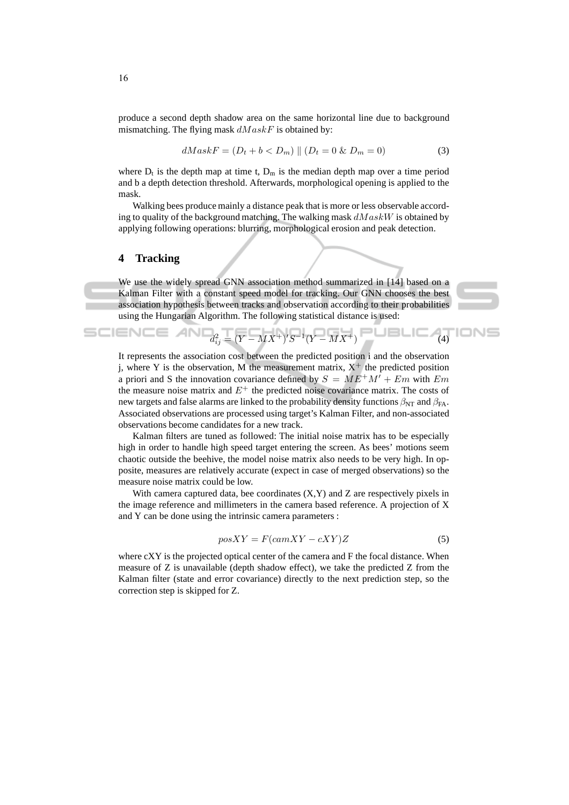produce a second depth shadow area on the same horizontal line due to background mismatching. The flying mask  $dMaskF$  is obtained by:

$$
dMaskF = (D_t + b < D_m) \parallel (D_t = 0 \& D_m = 0) \tag{3}
$$

where  $D_t$  is the depth map at time t,  $D_m$  is the median depth map over a time period and b a depth detection threshold. Afterwards, morphological opening is applied to the mask.

Walking bees produce mainly a distance peak that is more or less observable according to quality of the background matching. The walking mask  $dMaskW$  is obtained by applying following operations: blurring, morphological erosion and peak detection.

# **4 Tracking**

We use the widely spread GNN association method summarized in [14] based on a Kalman Filter with a constant speed model for tracking. Our GNN chooses the best association hypothesis between tracks and observation according to their probabilities using the Hungarian Algorithm. The following statistical distance is used:

![](_page_6_Picture_6.jpeg)

SCIENCE AND
$$
d_{ij}^2 = (Y - MX^+)'S^{-1}(Y - MX^+)
$$

It represents the association cost between the predicted position i and the observation j, where Y is the observation, M the measurement matrix,  $X^+$  the predicted position a priori and S the innovation covariance defined by  $S = ME^{+}M' + Em$  with  $Em$ the measure noise matrix and  $E^+$  the predicted noise covariance matrix. The costs of new targets and false alarms are linked to the probability density functions  $\beta_{NT}$  and  $\beta_{FA}$ . Associated observations are processed using target's Kalman Filter, and non-associated observations become candidates for a new track.

Kalman filters are tuned as followed: The initial noise matrix has to be especially high in order to handle high speed target entering the screen. As bees' motions seem chaotic outside the beehive, the model noise matrix also needs to be very high. In opposite, measures are relatively accurate (expect in case of merged observations) so the measure noise matrix could be low.

With camera captured data, bee coordinates  $(X, Y)$  and  $Z$  are respectively pixels in the image reference and millimeters in the camera based reference. A projection of X and Y can be done using the intrinsic camera parameters :

$$
posXY = F(camXY - cXY)Z
$$
\n<sup>(5)</sup>

where cXY is the projected optical center of the camera and F the focal distance. When measure of Z is unavailable (depth shadow effect), we take the predicted Z from the Kalman filter (state and error covariance) directly to the next prediction step, so the correction step is skipped for Z.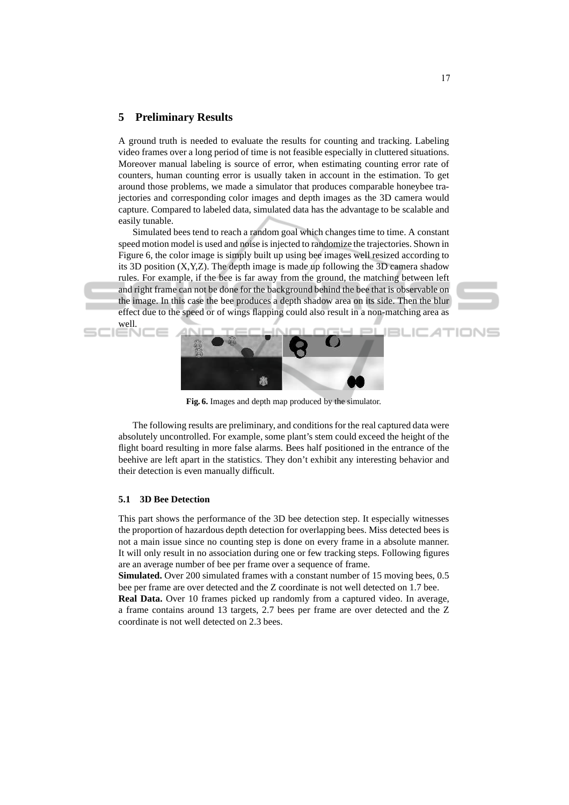# **5 Preliminary Results**

A ground truth is needed to evaluate the results for counting and tracking. Labeling video frames over a long period of time is not feasible especially in cluttered situations. Moreover manual labeling is source of error, when estimating counting error rate of counters, human counting error is usually taken in account in the estimation. To get around those problems, we made a simulator that produces comparable honeybee trajectories and corresponding color images and depth images as the 3D camera would capture. Compared to labeled data, simulated data has the advantage to be scalable and easily tunable.

Simulated bees tend to reach a random goal which changes time to time. A constant speed motion model is used and noise is injected to randomize the trajectories. Shown in Figure 6, the color image is simply built up using bee images well resized according to its 3D position (X,Y,Z). The depth image is made up following the 3D camera shadow rules. For example, if the bee is far away from the ground, the matching between left and right frame can not be done for the background behind the bee that is observable on the image. In this case the bee produces a depth shadow area on its side. Then the blur effect due to the speed or of wings flapping could also result in a non-matching area as well.

![](_page_7_Picture_3.jpeg)

**Fig. 6.** Images and depth map produced by the simulator.

The following results are preliminary, and conditions for the real captured data were absolutely uncontrolled. For example, some plant's stem could exceed the height of the flight board resulting in more false alarms. Bees half positioned in the entrance of the beehive are left apart in the statistics. They don't exhibit any interesting behavior and their detection is even manually difficult.

#### **5.1 3D Bee Detection**

This part shows the performance of the 3D bee detection step. It especially witnesses the proportion of hazardous depth detection for overlapping bees. Miss detected bees is not a main issue since no counting step is done on every frame in a absolute manner. It will only result in no association during one or few tracking steps. Following figures are an average number of bee per frame over a sequence of frame.

**Simulated.** Over 200 simulated frames with a constant number of 15 moving bees, 0.5 bee per frame are over detected and the Z coordinate is not well detected on 1.7 bee.

**Real Data.** Over 10 frames picked up randomly from a captured video. In average, a frame contains around 13 targets, 2.7 bees per frame are over detected and the Z coordinate is not well detected on 2.3 bees.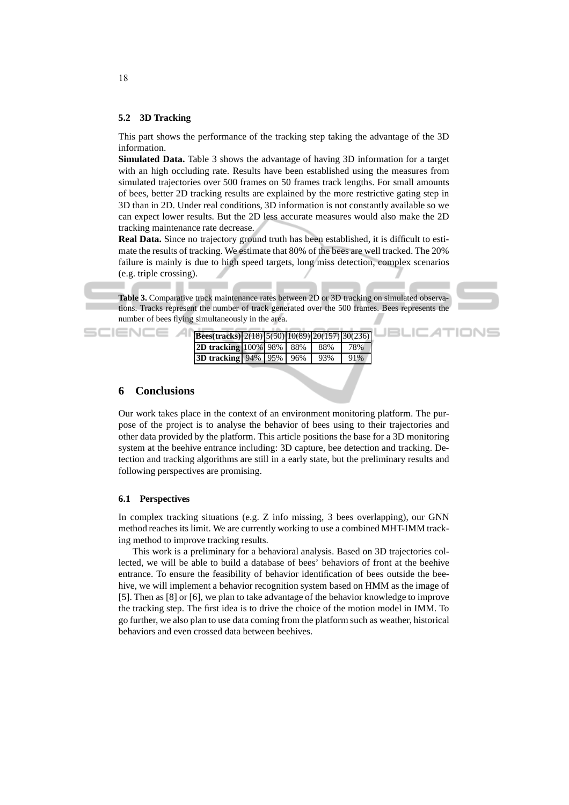#### **5.2 3D Tracking**

This part shows the performance of the tracking step taking the advantage of the 3D information.

**Simulated Data.** Table 3 shows the advantage of having 3D information for a target with an high occluding rate. Results have been established using the measures from simulated trajectories over 500 frames on 50 frames track lengths. For small amounts of bees, better 2D tracking results are explained by the more restrictive gating step in 3D than in 2D. Under real conditions, 3D information is not constantly available so we can expect lower results. But the 2D less accurate measures would also make the 2D tracking maintenance rate decrease.

**Real Data.** Since no trajectory ground truth has been established, it is difficult to estimate the results of tracking. We estimate that 80% of the bees are well tracked. The 20% failure is mainly is due to high speed targets, long miss detection, complex scenarios (e.g. triple crossing).

**Table 3.** Comparative track maintenance rates between 2D or 3D tracking on simulated observations. Tracks represent the number of track generated over the 500 frames. Bees represents the number of bees flying simultaneously in the area.

**JBLIC ATIONS** 

| <b>Bees(tracks)</b> 2(18) $\frac{5(50)}{10(89)}$ 20(157) 30(236) |  |     |     |
|------------------------------------------------------------------|--|-----|-----|
| <b>2D tracking 100% 98% 88%</b>                                  |  | 88% | 78% |
| <b>3D tracking</b> 94% 95% 96%                                   |  | 93% | 91% |

#### **6 Conclusions**

Our work takes place in the context of an environment monitoring platform. The purpose of the project is to analyse the behavior of bees using to their trajectories and other data provided by the platform. This article positions the base for a 3D monitoring system at the beehive entrance including: 3D capture, bee detection and tracking. Detection and tracking algorithms are still in a early state, but the preliminary results and following perspectives are promising.

## **6.1 Perspectives**

In complex tracking situations (e.g. Z info missing, 3 bees overlapping), our GNN method reaches its limit. We are currently working to use a combined MHT-IMM tracking method to improve tracking results.

This work is a preliminary for a behavioral analysis. Based on 3D trajectories collected, we will be able to build a database of bees' behaviors of front at the beehive entrance. To ensure the feasibility of behavior identification of bees outside the beehive, we will implement a behavior recognition system based on HMM as the image of [5]. Then as [8] or [6], we plan to take advantage of the behavior knowledge to improve the tracking step. The first idea is to drive the choice of the motion model in IMM. To go further, we also plan to use data coming from the platform such as weather, historical behaviors and even crossed data between beehives.